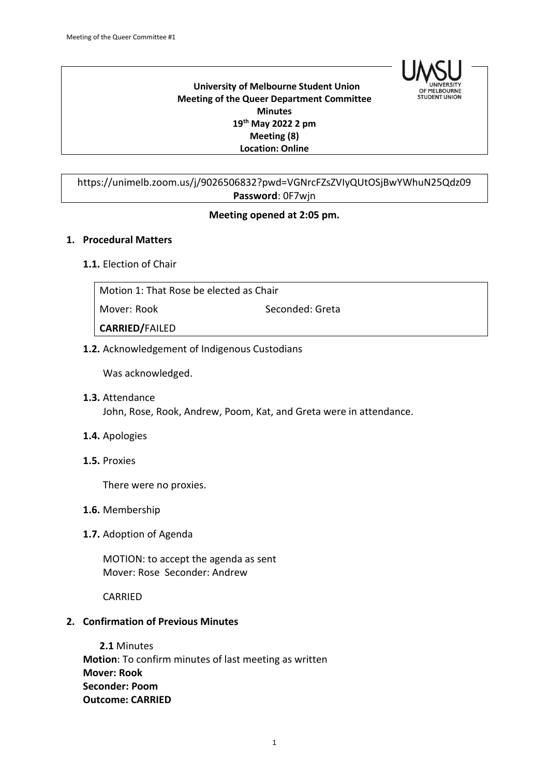

#### **University of Melbourne Student Union Meeting of the Queer Department Committee Minutes 19th May 2022 2 pm Meeting (8) Location: Online**

# https://unimelb.zoom.us/j/9026506832?pwd=VGNrcFZsZVIyQUtOSjBwYWhuN25Qdz09 **Password**: 0F7wjn

### **Meeting opened at 2:05 pm.**

#### **1. Procedural Matters**

#### **1.1.** Election of Chair

| Motion 1: That Rose be elected as Chair |                 |  |
|-----------------------------------------|-----------------|--|
| Mover: Rook                             | Seconded: Greta |  |
| <b>CARRIED/FAILED</b>                   |                 |  |

### **1.2.** Acknowledgement of Indigenous Custodians

Was acknowledged.

**1.3.** Attendance John, Rose, Rook, Andrew, Poom, Kat, and Greta were in attendance.

#### **1.4.** Apologies

**1.5.** Proxies

There were no proxies.

- **1.6.** Membership
- **1.7.** Adoption of Agenda

MOTION: to accept the agenda as sent Mover: Rose Seconder: Andrew

CARRIED

#### **2. Confirmation of Previous Minutes**

**2.1** Minutes **Motion**: To confirm minutes of last meeting as written **Mover: Rook Seconder: Poom Outcome: CARRIED**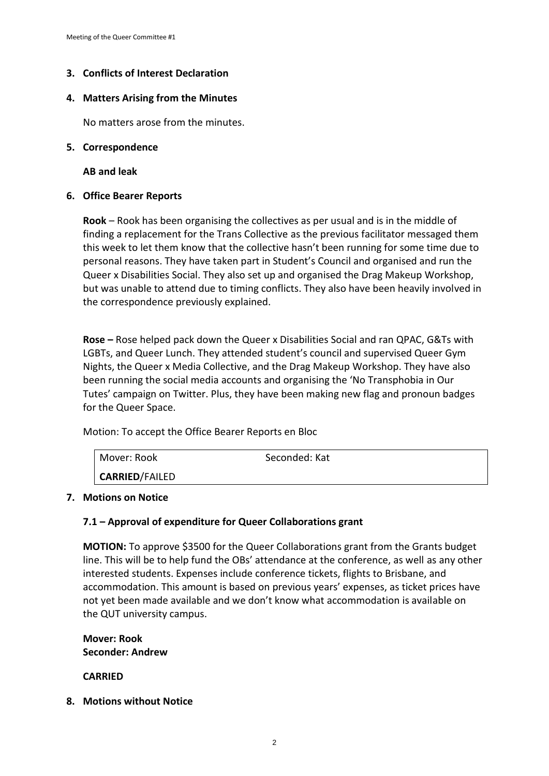## **3. Conflicts of Interest Declaration**

### **4. Matters Arising from the Minutes**

No matters arose from the minutes.

#### **5. Correspondence**

**AB and leak**

### **6. Office Bearer Reports**

**Rook** – Rook has been organising the collectives as per usual and is in the middle of finding a replacement for the Trans Collective as the previous facilitator messaged them this week to let them know that the collective hasn't been running for some time due to personal reasons. They have taken part in Student's Council and organised and run the Queer x Disabilities Social. They also set up and organised the Drag Makeup Workshop, but was unable to attend due to timing conflicts. They also have been heavily involved in the correspondence previously explained.

**Rose –** Rose helped pack down the Queer x Disabilities Social and ran QPAC, G&Ts with LGBTs, and Queer Lunch. They attended student's council and supervised Queer Gym Nights, the Queer x Media Collective, and the Drag Makeup Workshop. They have also been running the social media accounts and organising the 'No Transphobia in Our Tutes' campaign on Twitter. Plus, they have been making new flag and pronoun badges for the Queer Space.

Motion: To accept the Office Bearer Reports en Bloc

| Mover: Rook    | Seconded: Kat |  |
|----------------|---------------|--|
| CARRIED/FAILED |               |  |

#### **7. Motions on Notice**

## **7.1 – Approval of expenditure for Queer Collaborations grant**

**MOTION:** To approve \$3500 for the Queer Collaborations grant from the Grants budget line. This will be to help fund the OBs' attendance at the conference, as well as any other interested students. Expenses include conference tickets, flights to Brisbane, and accommodation. This amount is based on previous years' expenses, as ticket prices have not yet been made available and we don't know what accommodation is available on the QUT university campus.

**Mover: Rook Seconder: Andrew**

**CARRIED**

**8. Motions without Notice**